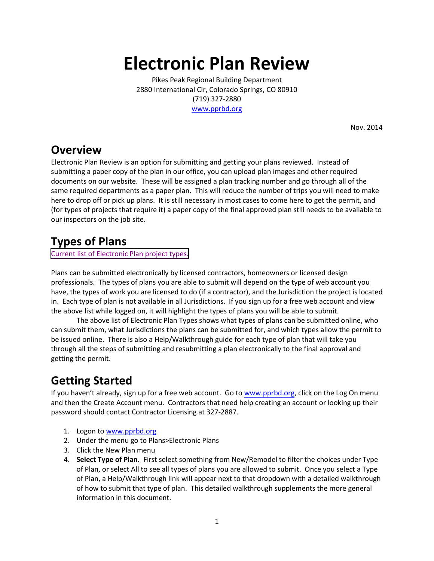# **Electronic Plan Review**

Pikes Peak Regional Building Department 2880 International Cir, Colorado Springs, CO 80910 (719) 327-2880 [www.pprbd.org](https://www.pprbd.org/)

Nov. 2014

#### **Overview**

Electronic Plan Review is an option for submitting and getting your plans reviewed. Instead of submitting a paper copy of the plan in our office, you can upload plan images and other required documents on our website. These will be assigned a plan tracking number and go through all of the same required departments as a paper plan. This will reduce the number of trips you will need to make here to drop off or pick up plans. It is still necessary in most cases to come here to get the permit, and (for types of projects that require it) a paper copy of the final approved plan still needs to be available to our inspectors on the job site.

## **Types of Plans**

[Current list of Electronic Plan project types.](https://www.pprbd.org/PublicAccess/ElectronicPlanTypeList.aspx)

Plans can be submitted electronically by licensed contractors, homeowners or licensed design professionals. The types of plans you are able to submit will depend on the type of web account you have, the types of work you are licensed to do (if a contractor), and the Jurisdiction the project is located in. Each type of plan is not available in all Jurisdictions. If you sign up for a free web account and view the above list while logged on, it will highlight the types of plans you will be able to submit.

The above list of Electronic Plan Types shows what types of plans can be submitted online, who can submit them, what Jurisdictions the plans can be submitted for, and which types allow the permit to be issued online. There is also a Help/Walkthrough guide for each type of plan that will take you through all the steps of submitting and resubmitting a plan electronically to the final approval and getting the permit.

# **Getting Started**

If you haven't already, sign up for a free web account. Go to [www.pprbd.org,](https://www.pprbd.org/) click on the Log On menu and then the Create Account menu. Contractors that need help creating an account or looking up their password should contact Contractor Licensing at 327-2887.

- 1. Logon t[o www.pprbd.org](https://www.pprbd.org/)
- 2. Under the menu go to Plans>Electronic Plans
- 3. Click the New Plan menu
- 4. **Select Type of Plan.** First select something from New/Remodel to filter the choices under Type of Plan, or select All to see all types of plans you are allowed to submit. Once you select a Type of Plan, a Help/Walkthrough link will appear next to that dropdown with a detailed walkthrough of how to submit that type of plan. This detailed walkthrough supplements the more general information in this document.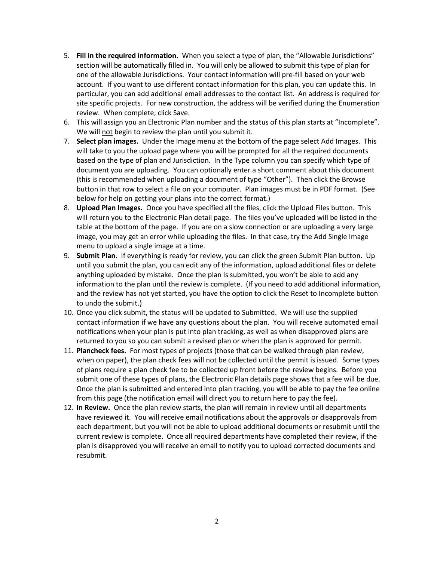- 5. **Fill in the required information.** When you select a type of plan, the "Allowable Jurisdictions" section will be automatically filled in. You will only be allowed to submit this type of plan for one of the allowable Jurisdictions. Your contact information will pre-fill based on your web account. If you want to use different contact information for this plan, you can update this. In particular, you can add additional email addresses to the contact list. An address is required for site specific projects. For new construction, the address will be verified during the Enumeration review. When complete, click Save.
- 6. This will assign you an Electronic Plan number and the status of this plan starts at "Incomplete". We will not begin to review the plan until you submit it.
- 7. **Select plan images.** Under the Image menu at the bottom of the page select Add Images. This will take to you the upload page where you will be prompted for all the required documents based on the type of plan and Jurisdiction. In the Type column you can specify which type of document you are uploading. You can optionally enter a short comment about this document (this is recommended when uploading a document of type "Other"). Then click the Browse button in that row to select a file on your computer. Plan images must be in PDF format. (See below for help on getting your plans into the correct format.)
- 8. **Upload Plan Images.** Once you have specified all the files, click the Upload Files button. This will return you to the Electronic Plan detail page. The files you've uploaded will be listed in the table at the bottom of the page. If you are on a slow connection or are uploading a very large image, you may get an error while uploading the files. In that case, try the Add Single Image menu to upload a single image at a time.
- 9. **Submit Plan.** If everything is ready for review, you can click the green Submit Plan button. Up until you submit the plan, you can edit any of the information, upload additional files or delete anything uploaded by mistake. Once the plan is submitted, you won't be able to add any information to the plan until the review is complete. (If you need to add additional information, and the review has not yet started, you have the option to click the Reset to Incomplete button to undo the submit.)
- 10. Once you click submit, the status will be updated to Submitted. We will use the supplied contact information if we have any questions about the plan. You will receive automated email notifications when your plan is put into plan tracking, as well as when disapproved plans are returned to you so you can submit a revised plan or when the plan is approved for permit.
- 11. **Plancheck fees.** For most types of projects (those that can be walked through plan review, when on paper), the plan check fees will not be collected until the permit is issued. Some types of plans require a plan check fee to be collected up front before the review begins. Before you submit one of these types of plans, the Electronic Plan details page shows that a fee will be due. Once the plan is submitted and entered into plan tracking, you will be able to pay the fee online from this page (the notification email will direct you to return here to pay the fee).
- 12. **In Review.** Once the plan review starts, the plan will remain in review until all departments have reviewed it. You will receive email notifications about the approvals or disapprovals from each department, but you will not be able to upload additional documents or resubmit until the current review is complete. Once all required departments have completed their review, if the plan is disapproved you will receive an email to notify you to upload corrected documents and resubmit.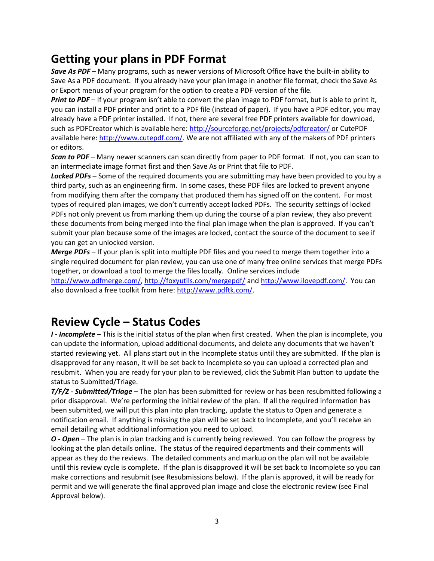## **Getting your plans in PDF Format**

*Save As PDF* – Many programs, such as newer versions of Microsoft Office have the built-in ability to Save As a PDF document. If you already have your plan image in another file format, check the Save As or Export menus of your program for the option to create a PDF version of the file.

*Print to PDF* – If your program isn't able to convert the plan image to PDF format, but is able to print it, you can install a PDF printer and print to a PDF file (instead of paper). If you have a PDF editor, you may already have a PDF printer installed. If not, there are several free PDF printers available for download, such as PDFCreator which is available here:<http://sourceforge.net/projects/pdfcreator/> or CutePDF available here: [http://www.cutepdf.com/.](http://www.cutepdf.com/) We are not affiliated with any of the makers of PDF printers or editors.

*Scan to PDF* – Many newer scanners can scan directly from paper to PDF format. If not, you can scan to an intermediate image format first and then Save As or Print that file to PDF.

*Locked PDFs* – Some of the required documents you are submitting may have been provided to you by a third party, such as an engineering firm. In some cases, these PDF files are locked to prevent anyone from modifying them after the company that produced them has signed off on the content. For most types of required plan images, we don't currently accept locked PDFs. The security settings of locked PDFs not only prevent us from marking them up during the course of a plan review, they also prevent these documents from being merged into the final plan image when the plan is approved. If you can't submit your plan because some of the images are locked, contact the source of the document to see if you can get an unlocked version.

*Merge PDFs* – If your plan is split into multiple PDF files and you need to merge them together into a single required document for plan review, you can use one of many free online services that merge PDFs together, or download a tool to merge the files locally. Online services include

[http://www.pdfmerge.com/,](http://www.pdfmerge.com/)<http://foxyutils.com/mergepdf/> and [http://www.ilovepdf.com/.](http://www.ilovepdf.com/) You can also download a free toolkit from here[: http://www.pdftk.com/.](http://www.pdftk.com/)

#### **Review Cycle – Status Codes**

*I - Incomplete* – This is the initial status of the plan when first created. When the plan is incomplete, you can update the information, upload additional documents, and delete any documents that we haven't started reviewing yet. All plans start out in the Incomplete status until they are submitted. If the plan is disapproved for any reason, it will be set back to Incomplete so you can upload a corrected plan and resubmit. When you are ready for your plan to be reviewed, click the Submit Plan button to update the status to Submitted/Triage.

*T/F/Z - Submitted/Triage* – The plan has been submitted for review or has been resubmitted following a prior disapproval. We're performing the initial review of the plan. If all the required information has been submitted, we will put this plan into plan tracking, update the status to Open and generate a notification email. If anything is missing the plan will be set back to Incomplete, and you'll receive an email detailing what additional information you need to upload.

*O - Open* – The plan is in plan tracking and is currently being reviewed. You can follow the progress by looking at the plan details online. The status of the required departments and their comments will appear as they do the reviews. The detailed comments and markup on the plan will not be available until this review cycle is complete. If the plan is disapproved it will be set back to Incomplete so you can make corrections and resubmit (see Resubmissions below). If the plan is approved, it will be ready for permit and we will generate the final approved plan image and close the electronic review (see Final Approval below).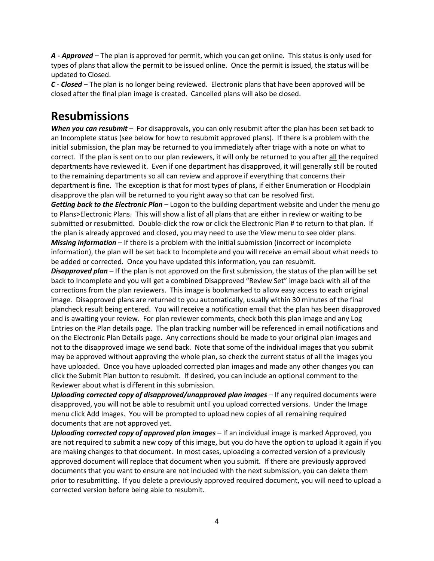*A - Approved* – The plan is approved for permit, which you can get online. This status is only used for types of plans that allow the permit to be issued online. Once the permit is issued, the status will be updated to Closed.

*C - Closed* – The plan is no longer being reviewed. Electronic plans that have been approved will be closed after the final plan image is created. Cancelled plans will also be closed.

#### **Resubmissions**

*When you can resubmit* – For disapprovals, you can only resubmit after the plan has been set back to an Incomplete status (see below for how to resubmit approved plans). If there is a problem with the initial submission, the plan may be returned to you immediately after triage with a note on what to correct. If the plan is sent on to our plan reviewers, it will only be returned to you after all the required departments have reviewed it. Even if one department has disapproved, it will generally still be routed to the remaining departments so all can review and approve if everything that concerns their department is fine. The exception is that for most types of plans, if either Enumeration or Floodplain disapprove the plan will be returned to you right away so that can be resolved first.

*Getting back to the Electronic Plan* – Logon to the building department website and under the menu go to Plans>Electronic Plans. This will show a list of all plans that are either in review or waiting to be submitted or resubmitted. Double-click the row or click the Electronic Plan # to return to that plan. If the plan is already approved and closed, you may need to use the View menu to see older plans. *Missing information* – If there is a problem with the initial submission (incorrect or incomplete information), the plan will be set back to Incomplete and you will receive an email about what needs to be added or corrected. Once you have updated this information, you can resubmit.

*Disapproved plan* – If the plan is not approved on the first submission, the status of the plan will be set back to Incomplete and you will get a combined Disapproved "Review Set" image back with all of the corrections from the plan reviewers. This image is bookmarked to allow easy access to each original image. Disapproved plans are returned to you automatically, usually within 30 minutes of the final plancheck result being entered. You will receive a notification email that the plan has been disapproved and is awaiting your review. For plan reviewer comments, check both this plan image and any Log Entries on the Plan details page. The plan tracking number will be referenced in email notifications and on the Electronic Plan Details page. Any corrections should be made to your original plan images and not to the disapproved image we send back. Note that some of the individual images that you submit may be approved without approving the whole plan, so check the current status of all the images you have uploaded. Once you have uploaded corrected plan images and made any other changes you can click the Submit Plan button to resubmit. If desired, you can include an optional comment to the Reviewer about what is different in this submission.

*Uploading corrected copy of disapproved/unapproved plan images* – If any required documents were disapproved, you will not be able to resubmit until you upload corrected versions. Under the Image menu click Add Images. You will be prompted to upload new copies of all remaining required documents that are not approved yet.

*Uploading corrected copy of approved plan images* – If an individual image is marked Approved, you are not required to submit a new copy of this image, but you do have the option to upload it again if you are making changes to that document. In most cases, uploading a corrected version of a previously approved document will replace that document when you submit. If there are previously approved documents that you want to ensure are not included with the next submission, you can delete them prior to resubmitting. If you delete a previously approved required document, you will need to upload a corrected version before being able to resubmit.